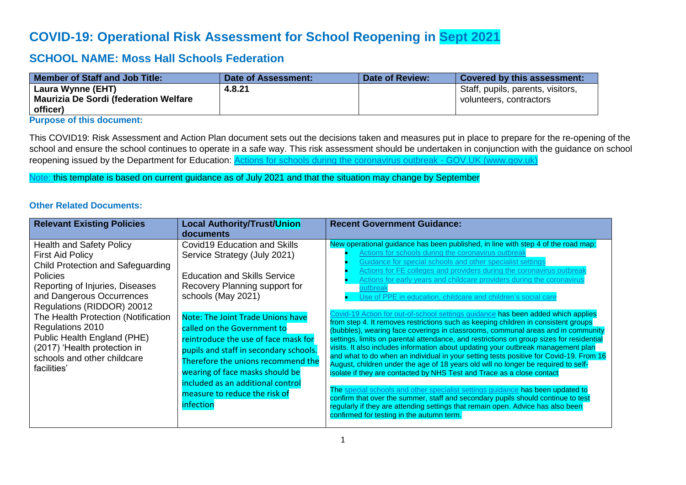# **COVID-19: Operational Risk Assessment for School Reopening in Sept 2021**

## **SCHOOL NAME: Moss Hall Schools Federation**

| <b>Member of Staff and Job Title:</b>         | Date of Assessment: | Date of Review: | <b>Covered by this assessment:</b> |
|-----------------------------------------------|---------------------|-----------------|------------------------------------|
| Laura Wynne (EHT)                             | 4.8.21              |                 | Staff, pupils, parents, visitors,  |
| <b>Maurizia De Sordi (federation Welfare)</b> |                     |                 | volunteers, contractors            |
| officer)                                      |                     |                 |                                    |

**Purpose of this document:**

This COVID19: Risk Assessment and Action Plan document sets out the decisions taken and measures put in place to prepare for the re-opening of the school and ensure the school continues to operate in a safe way. This risk assessment should be undertaken in conjunction with the guidance on school reopening issued by the Department for Education: [Actions for schools during the coronavirus outbreak -](https://www.gov.uk/government/publications/actions-for-schools-during-the-coronavirus-outbreak) GOV.UK (www.gov.uk)

Note: this template is based on current guidance as of July 2021 and that the situation may change by September

### **Other Related Documents:**

| <b>Relevant Existing Policies</b>                                                                                                                                                                                                                                                                                                                                                        | <b>Local Authority/Trust/Union</b><br>documents                                                                                                                                                                                                                                                                                                                                                                                                                                            | <b>Recent Government Guidance:</b>                                                                                                                                                                                                                                                                                                                                                                                                                                                                                                                                                                                                                                                                                                                                                                                                                                                                                                                                                                                                                                                                                                                                                                                                                                                                                                                                                                                                                          |
|------------------------------------------------------------------------------------------------------------------------------------------------------------------------------------------------------------------------------------------------------------------------------------------------------------------------------------------------------------------------------------------|--------------------------------------------------------------------------------------------------------------------------------------------------------------------------------------------------------------------------------------------------------------------------------------------------------------------------------------------------------------------------------------------------------------------------------------------------------------------------------------------|-------------------------------------------------------------------------------------------------------------------------------------------------------------------------------------------------------------------------------------------------------------------------------------------------------------------------------------------------------------------------------------------------------------------------------------------------------------------------------------------------------------------------------------------------------------------------------------------------------------------------------------------------------------------------------------------------------------------------------------------------------------------------------------------------------------------------------------------------------------------------------------------------------------------------------------------------------------------------------------------------------------------------------------------------------------------------------------------------------------------------------------------------------------------------------------------------------------------------------------------------------------------------------------------------------------------------------------------------------------------------------------------------------------------------------------------------------------|
| <b>Health and Safety Policy</b><br><b>First Aid Policy</b><br>Child Protection and Safeguarding<br><b>Policies</b><br>Reporting of Injuries, Diseases<br>and Dangerous Occurrences<br>Regulations (RIDDOR) 20012<br>The Health Protection (Notification<br>Regulations 2010<br>Public Health England (PHE)<br>(2017) 'Health protection in<br>schools and other childcare<br>facilities' | <b>Covid19 Education and Skills</b><br>Service Strategy (July 2021)<br><b>Education and Skills Service</b><br>Recovery Planning support for<br>schools (May 2021)<br><b>Note: The Joint Trade Unions have</b><br>called on the Government to<br>reintroduce the use of face mask for<br>pupils and staff in secondary schools.<br>Therefore the unions recommend the<br>wearing of face masks should be<br>included as an additional control<br>measure to reduce the risk of<br>infection | New operational guidance has been published, in line with step 4 of the road map:<br>Actions for schools during the coronavirus outbreak<br>Guidance for special schools and other specialist settings<br>Actions for FE colleges and providers during the coronavirus outbrea<br>Actions for early years and childcare providers during the coronavirus<br>outbreak<br><u>Jse of PPE in education, childcare and children's social care</u><br>Covid-19 Action for out-of-school settings guidance has been added which applies<br>from step 4. It removes restrictions such as keeping children in consistent groups<br>(bubbles), wearing face coverings in classrooms, communal areas and in community<br>settings, limits on parental attendance, and restrictions on group sizes for residential<br>visits. It also includes information about updating your outbreak management plan<br>and what to do when an individual in your setting tests positive for Covid-19. From 16<br>August, children under the age of 18 years old will no longer be required to self-<br>isolate if they are contacted by NHS Test and Trace as a close contact<br>The special schools and other specialist settings guidance has been updated to<br>confirm that over the summer, staff and secondary pupils should continue to test<br>regularly if they are attending settings that remain open. Advice has also been<br>confirmed for testing in the autumn term. |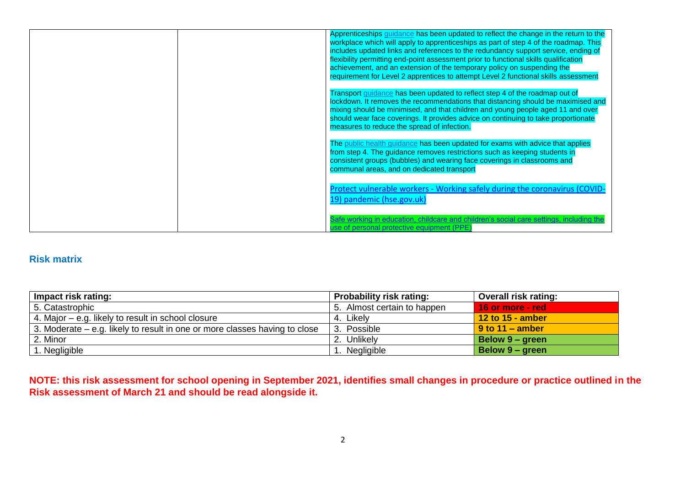|  | Apprenticeships <i>guidance</i> has been updated to reflect the change in the return to the<br>workplace which will apply to apprenticeships as part of step 4 of the roadmap. This<br>includes updated links and references to the redundancy support service, ending of<br>flexibility permitting end-point assessment prior to functional skills qualification<br>achievement, and an extension of the temporary policy on suspending the<br>requirement for Level 2 apprentices to attempt Level 2 functional skills assessment |
|--|-------------------------------------------------------------------------------------------------------------------------------------------------------------------------------------------------------------------------------------------------------------------------------------------------------------------------------------------------------------------------------------------------------------------------------------------------------------------------------------------------------------------------------------|
|  | Transport guidance has been updated to reflect step 4 of the roadmap out of<br>lockdown. It removes the recommendations that distancing should be maximised and<br>mixing should be minimised, and that children and young people aged 11 and over<br>should wear face coverings. It provides advice on continuing to take proportionate<br>measures to reduce the spread of infection.                                                                                                                                             |
|  | The public health guidance has been updated for exams with advice that applies<br>from step 4. The guidance removes restrictions such as keeping students in<br>consistent groups (bubbles) and wearing face coverings in classrooms and<br>communal areas, and on dedicated transport                                                                                                                                                                                                                                              |
|  | Protect vulnerable workers - Working safely during the coronavirus (COVID<br>19) pandemic (hse.gov.uk)                                                                                                                                                                                                                                                                                                                                                                                                                              |
|  | e working in education, childcare and children's social care settings, including<br>ise of personal protective equipment (PPE                                                                                                                                                                                                                                                                                                                                                                                                       |

## **Risk matrix**

| Impact risk rating:                                                        | <b>Probability risk rating:</b> | <b>Overall risk rating:</b> |
|----------------------------------------------------------------------------|---------------------------------|-----------------------------|
| 5. Catastrophic                                                            | 5. Almost certain to happen     | 16 or more - red            |
| 4. Major – e.g. likely to result in school closure                         | 4. Likely                       | 12 to 15 - amber            |
| 3. Moderate – e.g. likely to result in one or more classes having to close | 3. Possible                     | $9$ to 11 – amber           |
| 2. Minor                                                                   | 2. Unlikely                     | Below 9 – green             |
| . Negligible                                                               | I. Negligible                   | Below 9 – green             |

**NOTE: this risk assessment for school opening in September 2021, identifies small changes in procedure or practice outlined in the Risk assessment of March 21 and should be read alongside it.**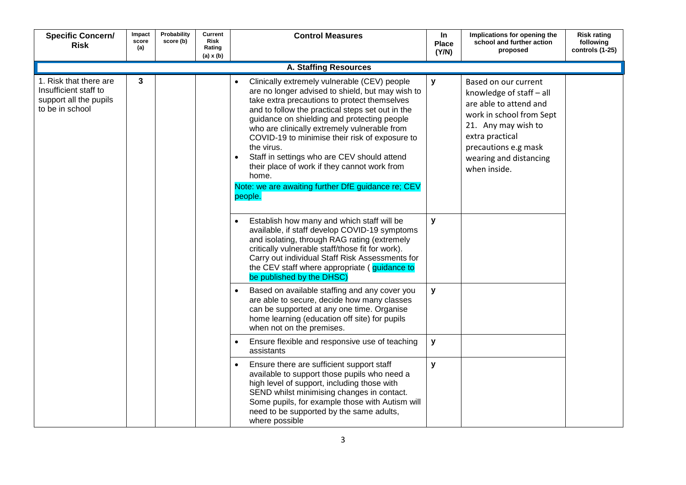| <b>Specific Concern/</b><br><b>Risk</b>                                                      | Impact<br>score<br>(a) | Probability<br>score (b) | Current<br><b>Risk</b><br>Rating<br>$(a) \times (b)$ | <b>Control Measures</b>                                                                                                                                                                                                                                                                                                                                                                                                                                                                                                                        | <b>In</b><br><b>Place</b><br>(Y/N) | Implications for opening the<br>school and further action<br>proposed                                                                                                                                              | <b>Risk rating</b><br>following<br>controls (1-25) |
|----------------------------------------------------------------------------------------------|------------------------|--------------------------|------------------------------------------------------|------------------------------------------------------------------------------------------------------------------------------------------------------------------------------------------------------------------------------------------------------------------------------------------------------------------------------------------------------------------------------------------------------------------------------------------------------------------------------------------------------------------------------------------------|------------------------------------|--------------------------------------------------------------------------------------------------------------------------------------------------------------------------------------------------------------------|----------------------------------------------------|
|                                                                                              |                        |                          |                                                      | <b>A. Staffing Resources</b>                                                                                                                                                                                                                                                                                                                                                                                                                                                                                                                   |                                    |                                                                                                                                                                                                                    |                                                    |
| 1. Risk that there are<br>Insufficient staff to<br>support all the pupils<br>to be in school | 3                      |                          |                                                      | Clinically extremely vulnerable (CEV) people<br>are no longer advised to shield, but may wish to<br>take extra precautions to protect themselves<br>and to follow the practical steps set out in the<br>guidance on shielding and protecting people<br>who are clinically extremely vulnerable from<br>COVID-19 to minimise their risk of exposure to<br>the virus.<br>Staff in settings who are CEV should attend<br>$\bullet$<br>their place of work if they cannot work from<br>home.<br>Note: we are awaiting further DfE guidance re; CEV | y                                  | Based on our current<br>knowledge of staff - all<br>are able to attend and<br>work in school from Sept<br>21. Any may wish to<br>extra practical<br>precautions e.g mask<br>wearing and distancing<br>when inside. |                                                    |
|                                                                                              |                        |                          |                                                      | people.                                                                                                                                                                                                                                                                                                                                                                                                                                                                                                                                        |                                    |                                                                                                                                                                                                                    |                                                    |
|                                                                                              |                        |                          |                                                      | Establish how many and which staff will be<br>$\bullet$<br>available, if staff develop COVID-19 symptoms<br>and isolating, through RAG rating (extremely<br>critically vulnerable staff/those fit for work).<br>Carry out individual Staff Risk Assessments for<br>the CEV staff where appropriate (guidance to<br>be published by the DHSC)                                                                                                                                                                                                   | y                                  |                                                                                                                                                                                                                    |                                                    |
|                                                                                              |                        |                          |                                                      | Based on available staffing and any cover you<br>are able to secure, decide how many classes<br>can be supported at any one time. Organise<br>home learning (education off site) for pupils<br>when not on the premises.                                                                                                                                                                                                                                                                                                                       | $\mathbf{y}$                       |                                                                                                                                                                                                                    |                                                    |
|                                                                                              |                        |                          |                                                      | Ensure flexible and responsive use of teaching<br>$\bullet$<br>assistants                                                                                                                                                                                                                                                                                                                                                                                                                                                                      | y                                  |                                                                                                                                                                                                                    |                                                    |
|                                                                                              |                        |                          |                                                      | Ensure there are sufficient support staff<br>$\bullet$<br>available to support those pupils who need a<br>high level of support, including those with<br>SEND whilst minimising changes in contact.<br>Some pupils, for example those with Autism will<br>need to be supported by the same adults,<br>where possible                                                                                                                                                                                                                           | y                                  |                                                                                                                                                                                                                    |                                                    |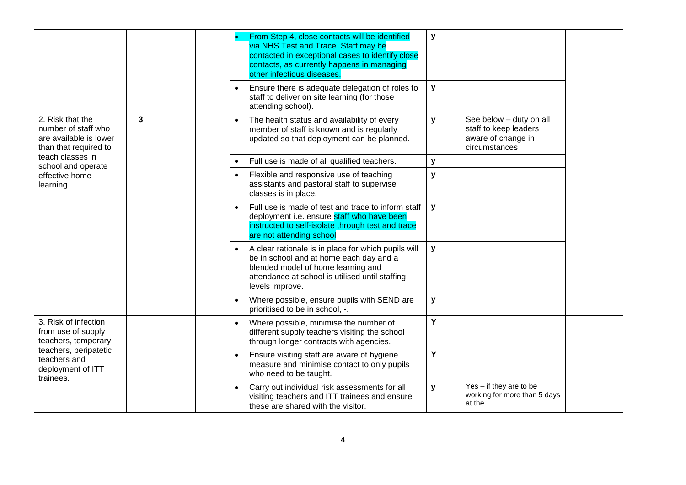|                                                                                            |                       |  |  |           | From Step 4, close contacts will be identified<br>via NHS Test and Trace. Staff may be<br>contacted in exceptional cases to identify close<br>contacts, as currently happens in managing<br>other infectious diseases. | y         |                                                                                                                                        |                                                                                |                                                                                         |  |  |  |  |  |  |  |                                                                                                                                                                                                            |   |  |  |
|--------------------------------------------------------------------------------------------|-----------------------|--|--|-----------|------------------------------------------------------------------------------------------------------------------------------------------------------------------------------------------------------------------------|-----------|----------------------------------------------------------------------------------------------------------------------------------------|--------------------------------------------------------------------------------|-----------------------------------------------------------------------------------------|--|--|--|--|--|--|--|------------------------------------------------------------------------------------------------------------------------------------------------------------------------------------------------------------|---|--|--|
|                                                                                            |                       |  |  | $\bullet$ | Ensure there is adequate delegation of roles to<br>staff to deliver on site learning (for those<br>attending school).                                                                                                  | y         |                                                                                                                                        |                                                                                |                                                                                         |  |  |  |  |  |  |  |                                                                                                                                                                                                            |   |  |  |
| 2. Risk that the<br>number of staff who<br>are available is lower<br>than that required to | 3                     |  |  |           |                                                                                                                                                                                                                        | $\bullet$ | The health status and availability of every<br>member of staff is known and is regularly<br>updated so that deployment can be planned. | y                                                                              | See below - duty on all<br>staff to keep leaders<br>aware of change in<br>circumstances |  |  |  |  |  |  |  |                                                                                                                                                                                                            |   |  |  |
| teach classes in<br>school and operate                                                     |                       |  |  |           | Full use is made of all qualified teachers.                                                                                                                                                                            | у         |                                                                                                                                        |                                                                                |                                                                                         |  |  |  |  |  |  |  |                                                                                                                                                                                                            |   |  |  |
| effective home<br>learning.                                                                |                       |  |  | $\bullet$ | Flexible and responsive use of teaching<br>assistants and pastoral staff to supervise<br>classes is in place.                                                                                                          | у         |                                                                                                                                        |                                                                                |                                                                                         |  |  |  |  |  |  |  |                                                                                                                                                                                                            |   |  |  |
|                                                                                            |                       |  |  |           | Full use is made of test and trace to inform staff<br>deployment i.e. ensure staff who have been<br>instructed to self-isolate through test and trace<br>are not attending school                                      | y         |                                                                                                                                        |                                                                                |                                                                                         |  |  |  |  |  |  |  |                                                                                                                                                                                                            |   |  |  |
|                                                                                            |                       |  |  |           |                                                                                                                                                                                                                        |           |                                                                                                                                        |                                                                                |                                                                                         |  |  |  |  |  |  |  | A clear rationale is in place for which pupils will<br>be in school and at home each day and a<br>blended model of home learning and<br>attendance at school is utilised until staffing<br>levels improve. | y |  |  |
|                                                                                            |                       |  |  |           |                                                                                                                                                                                                                        |           |                                                                                                                                        | Where possible, ensure pupils with SEND are<br>prioritised to be in school, -. | у                                                                                       |  |  |  |  |  |  |  |                                                                                                                                                                                                            |   |  |  |
| 3. Risk of infection<br>from use of supply<br>teachers, temporary                          |                       |  |  | $\bullet$ | Where possible, minimise the number of<br>different supply teachers visiting the school<br>through longer contracts with agencies.                                                                                     | Y         |                                                                                                                                        |                                                                                |                                                                                         |  |  |  |  |  |  |  |                                                                                                                                                                                                            |   |  |  |
| teachers and<br>deployment of ITT<br>trainees.                                             | teachers, peripatetic |  |  |           | Ensure visiting staff are aware of hygiene<br>measure and minimise contact to only pupils<br>who need to be taught.                                                                                                    | Y         |                                                                                                                                        |                                                                                |                                                                                         |  |  |  |  |  |  |  |                                                                                                                                                                                                            |   |  |  |
|                                                                                            |                       |  |  | $\bullet$ | Carry out individual risk assessments for all<br>visiting teachers and ITT trainees and ensure<br>these are shared with the visitor.                                                                                   | y         | Yes - if they are to be<br>working for more than 5 days<br>at the                                                                      |                                                                                |                                                                                         |  |  |  |  |  |  |  |                                                                                                                                                                                                            |   |  |  |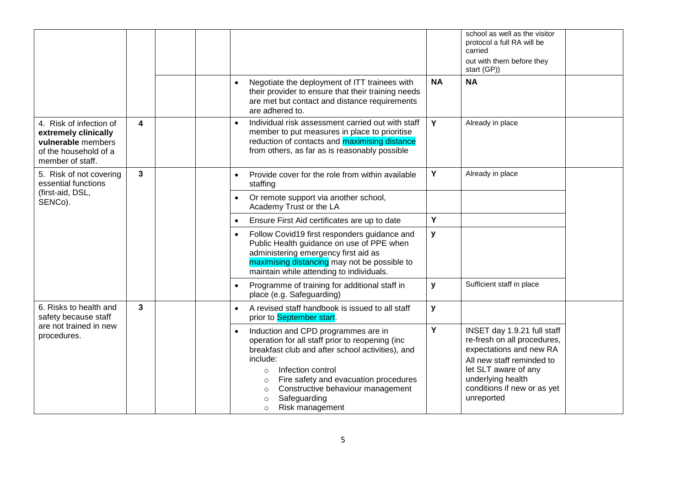|                                                                                                                    |                                             |           |                                                                                                                                                                                                                                                                                                                                                     |           | school as well as the visitor<br>protocol a full RA will be<br>carried<br>out with them before they<br>start (GP))                                                                                           |  |
|--------------------------------------------------------------------------------------------------------------------|---------------------------------------------|-----------|-----------------------------------------------------------------------------------------------------------------------------------------------------------------------------------------------------------------------------------------------------------------------------------------------------------------------------------------------------|-----------|--------------------------------------------------------------------------------------------------------------------------------------------------------------------------------------------------------------|--|
|                                                                                                                    |                                             | $\bullet$ | Negotiate the deployment of ITT trainees with<br>their provider to ensure that their training needs<br>are met but contact and distance requirements<br>are adhered to.                                                                                                                                                                             | <b>NA</b> | <b>NA</b>                                                                                                                                                                                                    |  |
| 4. Risk of infection of<br>extremely clinically<br>vulnerable members<br>of the household of a<br>member of staff. | 4                                           | $\bullet$ | Individual risk assessment carried out with staff<br>member to put measures in place to prioritise<br>reduction of contacts and maximising distance<br>from others, as far as is reasonably possible                                                                                                                                                | Y         | Already in place                                                                                                                                                                                             |  |
| 5. Risk of not covering<br>essential functions                                                                     | $\mathbf{3}$<br>(first-aid, DSL,<br>SENCo). | $\bullet$ | Provide cover for the role from within available<br>staffing                                                                                                                                                                                                                                                                                        | Y         | Already in place                                                                                                                                                                                             |  |
|                                                                                                                    |                                             | $\bullet$ | Or remote support via another school,<br>Academy Trust or the LA                                                                                                                                                                                                                                                                                    |           |                                                                                                                                                                                                              |  |
|                                                                                                                    |                                             | $\bullet$ | Ensure First Aid certificates are up to date                                                                                                                                                                                                                                                                                                        | Y         |                                                                                                                                                                                                              |  |
|                                                                                                                    |                                             | $\bullet$ | Follow Covid19 first responders guidance and<br>Public Health guidance on use of PPE when<br>administering emergency first aid as<br>maximising distancing may not be possible to<br>maintain while attending to individuals.                                                                                                                       | y         |                                                                                                                                                                                                              |  |
|                                                                                                                    |                                             |           | Programme of training for additional staff in<br>place (e.g. Safeguarding)                                                                                                                                                                                                                                                                          | y         | Sufficient staff in place                                                                                                                                                                                    |  |
| 6. Risks to health and<br>safety because staff                                                                     | 3                                           | $\bullet$ | A revised staff handbook is issued to all staff<br>prior to September start.                                                                                                                                                                                                                                                                        | y         |                                                                                                                                                                                                              |  |
| are not trained in new<br>procedures.                                                                              |                                             | $\bullet$ | Induction and CPD programmes are in<br>operation for all staff prior to reopening (inc<br>breakfast club and after school activities), and<br>include:<br>Infection control<br>$\circ$<br>Fire safety and evacuation procedures<br>$\circ$<br>Constructive behaviour management<br>$\circ$<br>Safeguarding<br>$\circ$<br>Risk management<br>$\circ$ | Y         | INSET day 1.9.21 full staff<br>re-fresh on all procedures,<br>expectations and new RA<br>All new staff reminded to<br>let SLT aware of any<br>underlying health<br>conditions if new or as yet<br>unreported |  |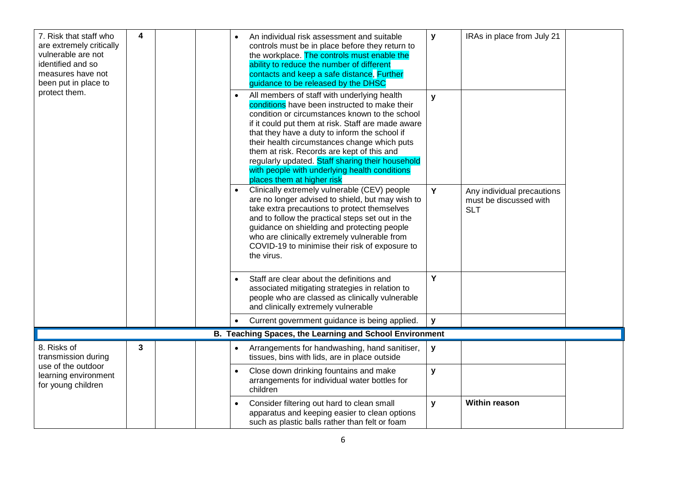| 7. Risk that staff who<br>are extremely critically<br>vulnerable are not<br>identified and so<br>measures have not<br>been put in place to | 4 |  |  |           | An individual risk assessment and suitable<br>controls must be in place before they return to<br>the workplace. The controls must enable the<br>ability to reduce the number of different<br>contacts and keep a safe distance, Further<br>guidance to be released by the DHSC                                                                                      | y            | IRAs in place from July 21                                         |  |  |  |                                                                                                                                                                                                                                                                                                                                                                                                                                                                                        |              |  |  |
|--------------------------------------------------------------------------------------------------------------------------------------------|---|--|--|-----------|---------------------------------------------------------------------------------------------------------------------------------------------------------------------------------------------------------------------------------------------------------------------------------------------------------------------------------------------------------------------|--------------|--------------------------------------------------------------------|--|--|--|----------------------------------------------------------------------------------------------------------------------------------------------------------------------------------------------------------------------------------------------------------------------------------------------------------------------------------------------------------------------------------------------------------------------------------------------------------------------------------------|--------------|--|--|
| protect them.                                                                                                                              |   |  |  |           |                                                                                                                                                                                                                                                                                                                                                                     |              |                                                                    |  |  |  | All members of staff with underlying health<br>conditions have been instructed to make their<br>condition or circumstances known to the school<br>if it could put them at risk. Staff are made aware<br>that they have a duty to inform the school if<br>their health circumstances change which puts<br>them at risk. Records are kept of this and<br>regularly updated. Staff sharing their household<br>with people with underlying health conditions<br>places them at higher risk | $\mathbf{V}$ |  |  |
|                                                                                                                                            |   |  |  |           | Clinically extremely vulnerable (CEV) people<br>are no longer advised to shield, but may wish to<br>take extra precautions to protect themselves<br>and to follow the practical steps set out in the<br>guidance on shielding and protecting people<br>who are clinically extremely vulnerable from<br>COVID-19 to minimise their risk of exposure to<br>the virus. | Y            | Any individual precautions<br>must be discussed with<br><b>SLT</b> |  |  |  |                                                                                                                                                                                                                                                                                                                                                                                                                                                                                        |              |  |  |
|                                                                                                                                            |   |  |  |           | Staff are clear about the definitions and<br>associated mitigating strategies in relation to<br>people who are classed as clinically vulnerable<br>and clinically extremely vulnerable                                                                                                                                                                              | Y            |                                                                    |  |  |  |                                                                                                                                                                                                                                                                                                                                                                                                                                                                                        |              |  |  |
|                                                                                                                                            |   |  |  |           | Current government guidance is being applied.                                                                                                                                                                                                                                                                                                                       | $\mathbf{V}$ |                                                                    |  |  |  |                                                                                                                                                                                                                                                                                                                                                                                                                                                                                        |              |  |  |
|                                                                                                                                            |   |  |  |           | B. Teaching Spaces, the Learning and School Environment                                                                                                                                                                                                                                                                                                             |              |                                                                    |  |  |  |                                                                                                                                                                                                                                                                                                                                                                                                                                                                                        |              |  |  |
| 8. Risks of<br>transmission during                                                                                                         | 3 |  |  |           | Arrangements for handwashing, hand sanitiser,<br>tissues, bins with lids, are in place outside                                                                                                                                                                                                                                                                      | у            |                                                                    |  |  |  |                                                                                                                                                                                                                                                                                                                                                                                                                                                                                        |              |  |  |
| use of the outdoor<br>learning environment<br>for young children                                                                           |   |  |  | $\bullet$ | Close down drinking fountains and make<br>arrangements for individual water bottles for<br>children                                                                                                                                                                                                                                                                 | y            |                                                                    |  |  |  |                                                                                                                                                                                                                                                                                                                                                                                                                                                                                        |              |  |  |
|                                                                                                                                            |   |  |  |           | Consider filtering out hard to clean small<br>apparatus and keeping easier to clean options<br>such as plastic balls rather than felt or foam                                                                                                                                                                                                                       | y            | <b>Within reason</b>                                               |  |  |  |                                                                                                                                                                                                                                                                                                                                                                                                                                                                                        |              |  |  |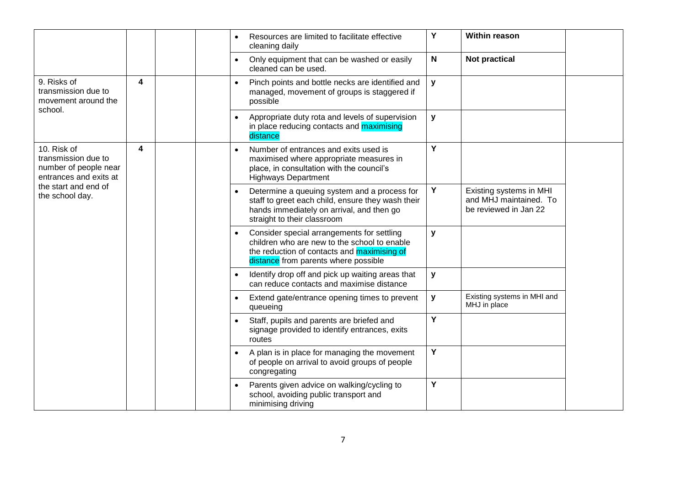|                                                                                                                                  |   |  |           | $\bullet$                                                                                                      | Resources are limited to facilitate effective<br>cleaning daily                                             | Υ                                                                                                                                                                             | <b>Within reason</b> |                                                                            |  |                                                                                                                                                                                          |           |                                                           |              |                                             |  |  |  |  |  |  |  |  |  |  |  |  |  |  |  |  |  |  |  |  |  |  |  |  |  |  |  |  |           |                                                                                                      |   |  |  |
|----------------------------------------------------------------------------------------------------------------------------------|---|--|-----------|----------------------------------------------------------------------------------------------------------------|-------------------------------------------------------------------------------------------------------------|-------------------------------------------------------------------------------------------------------------------------------------------------------------------------------|----------------------|----------------------------------------------------------------------------|--|------------------------------------------------------------------------------------------------------------------------------------------------------------------------------------------|-----------|-----------------------------------------------------------|--------------|---------------------------------------------|--|--|--|--|--|--|--|--|--|--|--|--|--|--|--|--|--|--|--|--|--|--|--|--|--|--|--|--|-----------|------------------------------------------------------------------------------------------------------|---|--|--|
|                                                                                                                                  |   |  |           | $\bullet$                                                                                                      | Only equipment that can be washed or easily<br>cleaned can be used.                                         | N                                                                                                                                                                             | <b>Not practical</b> |                                                                            |  |                                                                                                                                                                                          |           |                                                           |              |                                             |  |  |  |  |  |  |  |  |  |  |  |  |  |  |  |  |  |  |  |  |  |  |  |  |  |  |  |  |           |                                                                                                      |   |  |  |
| 9. Risks of<br>transmission due to<br>movement around the<br>school.                                                             | 4 |  |           | $\bullet$                                                                                                      | Pinch points and bottle necks are identified and<br>managed, movement of groups is staggered if<br>possible | y                                                                                                                                                                             |                      |                                                                            |  |                                                                                                                                                                                          |           |                                                           |              |                                             |  |  |  |  |  |  |  |  |  |  |  |  |  |  |  |  |  |  |  |  |  |  |  |  |  |  |  |  |           |                                                                                                      |   |  |  |
|                                                                                                                                  |   |  |           | $\bullet$                                                                                                      | Appropriate duty rota and levels of supervision<br>in place reducing contacts and maximising<br>distance    | y                                                                                                                                                                             |                      |                                                                            |  |                                                                                                                                                                                          |           |                                                           |              |                                             |  |  |  |  |  |  |  |  |  |  |  |  |  |  |  |  |  |  |  |  |  |  |  |  |  |  |  |  |           |                                                                                                      |   |  |  |
| 10. Risk of<br>transmission due to<br>number of people near<br>entrances and exits at<br>the start and end of<br>the school day. | 4 |  |           |                                                                                                                | $\bullet$                                                                                                   | Number of entrances and exits used is<br>maximised where appropriate measures in<br>place, in consultation with the council's<br><b>Highways Department</b>                   | Y                    |                                                                            |  |                                                                                                                                                                                          |           |                                                           |              |                                             |  |  |  |  |  |  |  |  |  |  |  |  |  |  |  |  |  |  |  |  |  |  |  |  |  |  |  |  |           |                                                                                                      |   |  |  |
|                                                                                                                                  |   |  |           |                                                                                                                |                                                                                                             | Determine a queuing system and a process for<br>staff to greet each child, ensure they wash their<br>hands immediately on arrival, and then go<br>straight to their classroom | Y                    | Existing systems in MHI<br>and MHJ maintained. To<br>be reviewed in Jan 22 |  |                                                                                                                                                                                          |           |                                                           |              |                                             |  |  |  |  |  |  |  |  |  |  |  |  |  |  |  |  |  |  |  |  |  |  |  |  |  |  |  |  |           |                                                                                                      |   |  |  |
|                                                                                                                                  |   |  |           |                                                                                                                |                                                                                                             |                                                                                                                                                                               |                      |                                                                            |  | Consider special arrangements for settling<br>children who are new to the school to enable<br>the reduction of contacts and <b>maximising of</b><br>distance from parents where possible | y         |                                                           |              |                                             |  |  |  |  |  |  |  |  |  |  |  |  |  |  |  |  |  |  |  |  |  |  |  |  |  |  |  |  |           |                                                                                                      |   |  |  |
|                                                                                                                                  |   |  |           | $\bullet$                                                                                                      | Identify drop off and pick up waiting areas that<br>can reduce contacts and maximise distance               | y                                                                                                                                                                             |                      |                                                                            |  |                                                                                                                                                                                          |           |                                                           |              |                                             |  |  |  |  |  |  |  |  |  |  |  |  |  |  |  |  |  |  |  |  |  |  |  |  |  |  |  |  |           |                                                                                                      |   |  |  |
|                                                                                                                                  |   |  |           |                                                                                                                |                                                                                                             |                                                                                                                                                                               |                      |                                                                            |  |                                                                                                                                                                                          | $\bullet$ | Extend gate/entrance opening times to prevent<br>queueing | $\mathbf{y}$ | Existing systems in MHI and<br>MHJ in place |  |  |  |  |  |  |  |  |  |  |  |  |  |  |  |  |  |  |  |  |  |  |  |  |  |  |  |  |           |                                                                                                      |   |  |  |
|                                                                                                                                  |   |  |           |                                                                                                                |                                                                                                             |                                                                                                                                                                               |                      |                                                                            |  |                                                                                                                                                                                          |           |                                                           |              |                                             |  |  |  |  |  |  |  |  |  |  |  |  |  |  |  |  |  |  |  |  |  |  |  |  |  |  |  |  | $\bullet$ | Staff, pupils and parents are briefed and<br>signage provided to identify entrances, exits<br>routes | Y |  |  |
|                                                                                                                                  |   |  | $\bullet$ | A plan is in place for managing the movement<br>of people on arrival to avoid groups of people<br>congregating | Y                                                                                                           |                                                                                                                                                                               |                      |                                                                            |  |                                                                                                                                                                                          |           |                                                           |              |                                             |  |  |  |  |  |  |  |  |  |  |  |  |  |  |  |  |  |  |  |  |  |  |  |  |  |  |  |  |           |                                                                                                      |   |  |  |
|                                                                                                                                  |   |  |           |                                                                                                                | Parents given advice on walking/cycling to<br>school, avoiding public transport and<br>minimising driving   | Y                                                                                                                                                                             |                      |                                                                            |  |                                                                                                                                                                                          |           |                                                           |              |                                             |  |  |  |  |  |  |  |  |  |  |  |  |  |  |  |  |  |  |  |  |  |  |  |  |  |  |  |  |           |                                                                                                      |   |  |  |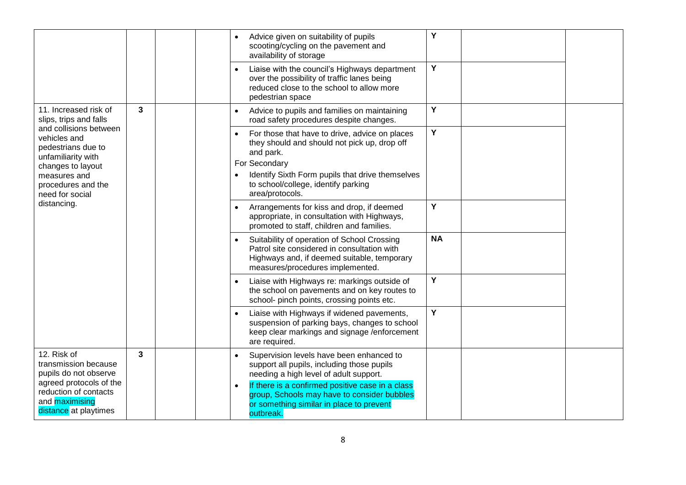|                                                                                                                                                                  |   |  |  |                        | Advice given on suitability of pupils<br>scooting/cycling on the pavement and<br>availability of storage<br>Liaise with the council's Highways department<br>over the possibility of traffic lanes being<br>reduced close to the school to allow more                                        | Y<br>Y    |                                                                                                                                                                                                                                            |   |  |
|------------------------------------------------------------------------------------------------------------------------------------------------------------------|---|--|--|------------------------|----------------------------------------------------------------------------------------------------------------------------------------------------------------------------------------------------------------------------------------------------------------------------------------------|-----------|--------------------------------------------------------------------------------------------------------------------------------------------------------------------------------------------------------------------------------------------|---|--|
| 11. Increased risk of<br>slips, trips and falls                                                                                                                  | 3 |  |  | $\bullet$              | pedestrian space<br>Advice to pupils and families on maintaining<br>road safety procedures despite changes.                                                                                                                                                                                  | Y         |                                                                                                                                                                                                                                            |   |  |
| and collisions between<br>vehicles and<br>pedestrians due to<br>unfamiliarity with<br>changes to layout<br>measures and<br>procedures and the<br>need for social |   |  |  |                        |                                                                                                                                                                                                                                                                                              |           | For those that have to drive, advice on places<br>they should and should not pick up, drop off<br>and park.<br>For Secondary<br>Identify Sixth Form pupils that drive themselves<br>to school/college, identify parking<br>area/protocols. | Y |  |
| distancing.                                                                                                                                                      |   |  |  |                        |                                                                                                                                                                                                                                                                                              | $\bullet$ | Arrangements for kiss and drop, if deemed<br>appropriate, in consultation with Highways,<br>promoted to staff, children and families.                                                                                                      | Y |  |
|                                                                                                                                                                  |   |  |  | $\bullet$              | Suitability of operation of School Crossing<br>Patrol site considered in consultation with<br>Highways and, if deemed suitable, temporary<br>measures/procedures implemented.                                                                                                                | <b>NA</b> |                                                                                                                                                                                                                                            |   |  |
|                                                                                                                                                                  |   |  |  | $\bullet$              | Liaise with Highways re: markings outside of<br>the school on pavements and on key routes to<br>school- pinch points, crossing points etc.                                                                                                                                                   | Y         |                                                                                                                                                                                                                                            |   |  |
|                                                                                                                                                                  |   |  |  | $\bullet$              | Liaise with Highways if widened pavements,<br>suspension of parking bays, changes to school<br>keep clear markings and signage /enforcement<br>are required.                                                                                                                                 | Y         |                                                                                                                                                                                                                                            |   |  |
| 12. Risk of<br>transmission because<br>pupils do not observe<br>agreed protocols of the<br>reduction of contacts<br>and maximising<br>distance at playtimes      | 3 |  |  | $\bullet$<br>$\bullet$ | Supervision levels have been enhanced to<br>support all pupils, including those pupils<br>needing a high level of adult support.<br>If there is a confirmed positive case in a class<br>group, Schools may have to consider bubbles<br>or something similar in place to prevent<br>outbreak. |           |                                                                                                                                                                                                                                            |   |  |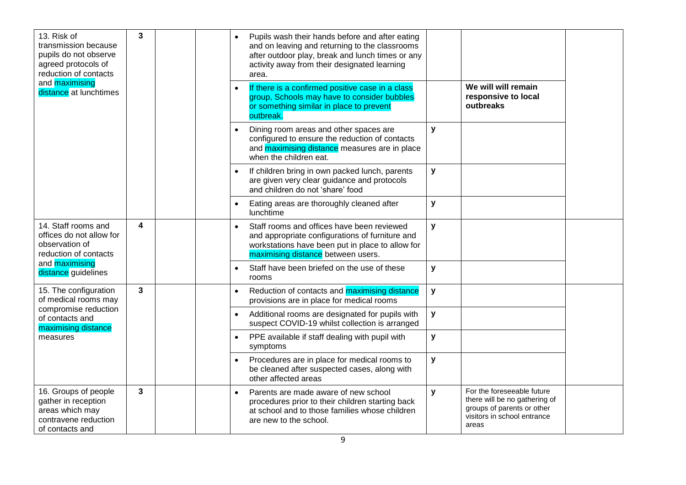| 13. Risk of<br>transmission because<br>pupils do not observe<br>agreed protocols of<br>reduction of contacts | 3<br>and maximising     |  | $\bullet$ | Pupils wash their hands before and after eating<br>and on leaving and returning to the classrooms<br>after outdoor play, break and lunch times or any<br>activity away from their designated learning<br>area. |                                                                                                                                                                                         |                                                                                                                                   |                                                                                                                                   |   |           |                                                                                                                                                          |   |                                                         |                                                        |   |  |
|--------------------------------------------------------------------------------------------------------------|-------------------------|--|-----------|----------------------------------------------------------------------------------------------------------------------------------------------------------------------------------------------------------------|-----------------------------------------------------------------------------------------------------------------------------------------------------------------------------------------|-----------------------------------------------------------------------------------------------------------------------------------|-----------------------------------------------------------------------------------------------------------------------------------|---|-----------|----------------------------------------------------------------------------------------------------------------------------------------------------------|---|---------------------------------------------------------|--------------------------------------------------------|---|--|
| distance at lunchtimes                                                                                       |                         |  |           |                                                                                                                                                                                                                |                                                                                                                                                                                         |                                                                                                                                   |                                                                                                                                   |   |           | If there is a confirmed positive case in a class<br>group, Schools may have to consider bubbles<br>or something similar in place to prevent<br>outbreak. |   | We will will remain<br>responsive to local<br>outbreaks |                                                        |   |  |
|                                                                                                              |                         |  |           | $\bullet$                                                                                                                                                                                                      | Dining room areas and other spaces are<br>configured to ensure the reduction of contacts<br>and maximising distance measures are in place<br>when the children eat.                     | y                                                                                                                                 |                                                                                                                                   |   |           |                                                                                                                                                          |   |                                                         |                                                        |   |  |
|                                                                                                              |                         |  |           |                                                                                                                                                                                                                | $\bullet$                                                                                                                                                                               | If children bring in own packed lunch, parents<br>are given very clear guidance and protocols<br>and children do not 'share' food | y                                                                                                                                 |   |           |                                                                                                                                                          |   |                                                         |                                                        |   |  |
|                                                                                                              |                         |  |           |                                                                                                                                                                                                                |                                                                                                                                                                                         |                                                                                                                                   |                                                                                                                                   |   |           |                                                                                                                                                          |   |                                                         | Eating areas are thoroughly cleaned after<br>lunchtime | y |  |
| 14. Staff rooms and<br>offices do not allow for<br>observation of<br>reduction of contacts                   | $\overline{\mathbf{4}}$ |  |           | $\bullet$                                                                                                                                                                                                      | Staff rooms and offices have been reviewed<br>and appropriate configurations of furniture and<br>workstations have been put in place to allow for<br>maximising distance between users. | y                                                                                                                                 |                                                                                                                                   |   |           |                                                                                                                                                          |   |                                                         |                                                        |   |  |
| and maximising<br>distance guidelines                                                                        |                         |  |           |                                                                                                                                                                                                                |                                                                                                                                                                                         |                                                                                                                                   |                                                                                                                                   |   | $\bullet$ | Staff have been briefed on the use of these<br>rooms                                                                                                     | y |                                                         |                                                        |   |  |
| 15. The configuration<br>of medical rooms may                                                                | $\mathbf{3}$            |  |           |                                                                                                                                                                                                                |                                                                                                                                                                                         | $\bullet$                                                                                                                         | Reduction of contacts and maximising distance<br>provisions are in place for medical rooms                                        | y |           |                                                                                                                                                          |   |                                                         |                                                        |   |  |
| compromise reduction<br>of contacts and<br>maximising distance                                               |                         |  |           |                                                                                                                                                                                                                | Additional rooms are designated for pupils with<br>suspect COVID-19 whilst collection is arranged                                                                                       | у                                                                                                                                 |                                                                                                                                   |   |           |                                                                                                                                                          |   |                                                         |                                                        |   |  |
| measures                                                                                                     |                         |  |           | PPE available if staff dealing with pupil with<br>symptoms                                                                                                                                                     | y                                                                                                                                                                                       |                                                                                                                                   |                                                                                                                                   |   |           |                                                                                                                                                          |   |                                                         |                                                        |   |  |
|                                                                                                              |                         |  |           |                                                                                                                                                                                                                | Procedures are in place for medical rooms to<br>be cleaned after suspected cases, along with<br>other affected areas                                                                    | y                                                                                                                                 |                                                                                                                                   |   |           |                                                                                                                                                          |   |                                                         |                                                        |   |  |
| 16. Groups of people<br>gather in reception<br>areas which may<br>contravene reduction<br>of contacts and    | $\mathbf{3}$            |  |           | $\bullet$                                                                                                                                                                                                      | Parents are made aware of new school<br>procedures prior to their children starting back<br>at school and to those families whose children<br>are new to the school.                    | y                                                                                                                                 | For the foreseeable future<br>there will be no gathering of<br>groups of parents or other<br>visitors in school entrance<br>areas |   |           |                                                                                                                                                          |   |                                                         |                                                        |   |  |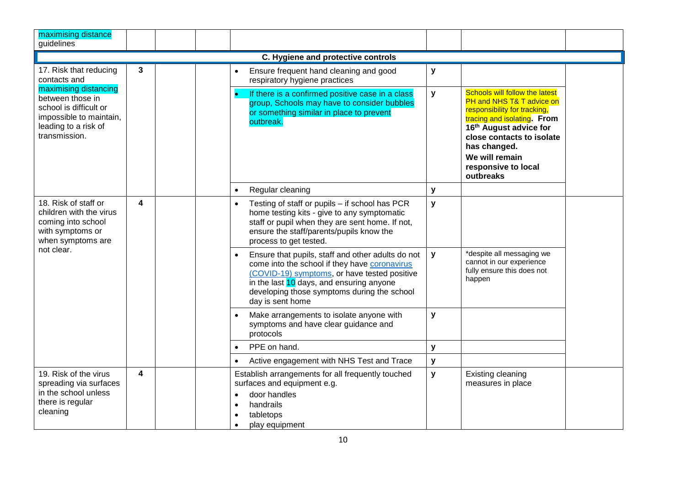| maximising distance<br>guidelines                                                                                                       |   |                                                                                                                                                                                                                                                                   |                                                                                                                                                                                                                        |                                                                                               |                                                                                                                                                                                                                                                                            |
|-----------------------------------------------------------------------------------------------------------------------------------------|---|-------------------------------------------------------------------------------------------------------------------------------------------------------------------------------------------------------------------------------------------------------------------|------------------------------------------------------------------------------------------------------------------------------------------------------------------------------------------------------------------------|-----------------------------------------------------------------------------------------------|----------------------------------------------------------------------------------------------------------------------------------------------------------------------------------------------------------------------------------------------------------------------------|
|                                                                                                                                         |   |                                                                                                                                                                                                                                                                   | C. Hygiene and protective controls                                                                                                                                                                                     |                                                                                               |                                                                                                                                                                                                                                                                            |
| 17. Risk that reducing<br>contacts and                                                                                                  | 3 |                                                                                                                                                                                                                                                                   | Ensure frequent hand cleaning and good<br>respiratory hygiene practices                                                                                                                                                | y                                                                                             |                                                                                                                                                                                                                                                                            |
| maximising distancing<br>between those in<br>school is difficult or<br>impossible to maintain,<br>leading to a risk of<br>transmission. |   |                                                                                                                                                                                                                                                                   | If there is a confirmed positive case in a class<br>group, Schools may have to consider bubbles<br>or something similar in place to prevent<br>outbreak.                                                               | y                                                                                             | <b>Schools will follow the latest</b><br>PH and NHS T& T advice on<br>responsibility for tracking,<br>tracing and isolating. From<br>16 <sup>th</sup> August advice for<br>close contacts to isolate<br>has changed.<br>We will remain<br>responsive to local<br>outbreaks |
|                                                                                                                                         |   | $\bullet$                                                                                                                                                                                                                                                         | Regular cleaning                                                                                                                                                                                                       | y                                                                                             |                                                                                                                                                                                                                                                                            |
| 18. Risk of staff or<br>4<br>children with the virus<br>coming into school<br>with symptoms or<br>when symptoms are<br>not clear.       |   | $\bullet$                                                                                                                                                                                                                                                         | Testing of staff or pupils - if school has PCR<br>home testing kits - give to any symptomatic<br>staff or pupil when they are sent home. If not,<br>ensure the staff/parents/pupils know the<br>process to get tested. | y                                                                                             |                                                                                                                                                                                                                                                                            |
|                                                                                                                                         |   | Ensure that pupils, staff and other adults do not<br>come into the school if they have coronavirus<br>(COVID-19) symptoms, or have tested positive<br>in the last 10 days, and ensuring anyone<br>developing those symptoms during the school<br>day is sent home | y                                                                                                                                                                                                                      | *despite all messaging we<br>cannot in our experience<br>fully ensure this does not<br>happen |                                                                                                                                                                                                                                                                            |
|                                                                                                                                         |   |                                                                                                                                                                                                                                                                   | Make arrangements to isolate anyone with<br>symptoms and have clear guidance and<br>protocols                                                                                                                          | y                                                                                             |                                                                                                                                                                                                                                                                            |
|                                                                                                                                         |   | $\bullet$                                                                                                                                                                                                                                                         | PPE on hand.                                                                                                                                                                                                           | y                                                                                             |                                                                                                                                                                                                                                                                            |
|                                                                                                                                         |   | $\bullet$                                                                                                                                                                                                                                                         | Active engagement with NHS Test and Trace                                                                                                                                                                              | ${\bf y}$                                                                                     |                                                                                                                                                                                                                                                                            |
| 19. Risk of the virus<br>spreading via surfaces<br>in the school unless<br>there is regular<br>cleaning                                 | 4 | $\bullet$<br>$\bullet$                                                                                                                                                                                                                                            | Establish arrangements for all frequently touched<br>surfaces and equipment e.g.<br>door handles<br>handrails<br>tabletops<br>play equipment                                                                           | $\mathbf{y}$                                                                                  | Existing cleaning<br>measures in place                                                                                                                                                                                                                                     |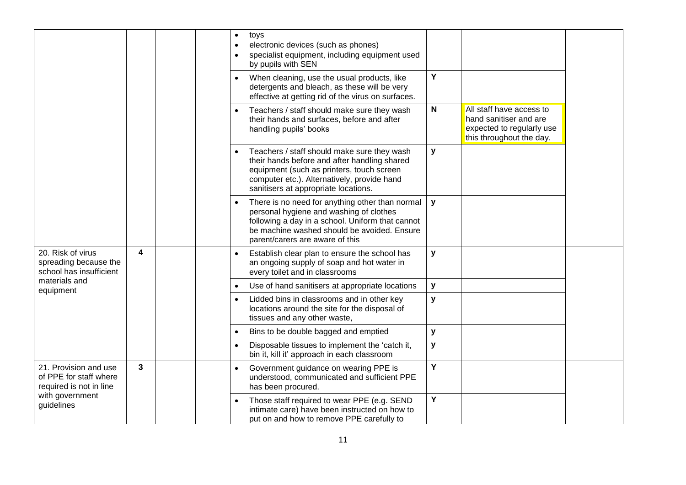|                                                                            |   | $\bullet$ | toys<br>electronic devices (such as phones)<br>specialist equipment, including equipment used<br>by pupils with SEN                                                                                                              |              |                                                                                                             |  |
|----------------------------------------------------------------------------|---|-----------|----------------------------------------------------------------------------------------------------------------------------------------------------------------------------------------------------------------------------------|--------------|-------------------------------------------------------------------------------------------------------------|--|
|                                                                            |   | $\bullet$ | When cleaning, use the usual products, like<br>detergents and bleach, as these will be very<br>effective at getting rid of the virus on surfaces.                                                                                | Y            |                                                                                                             |  |
|                                                                            |   |           | Teachers / staff should make sure they wash<br>their hands and surfaces, before and after<br>handling pupils' books                                                                                                              | $\mathsf{N}$ | All staff have access to<br>hand sanitiser and are<br>expected to regularly use<br>this throughout the day. |  |
|                                                                            |   |           | Teachers / staff should make sure they wash<br>their hands before and after handling shared<br>equipment (such as printers, touch screen<br>computer etc.). Alternatively, provide hand<br>sanitisers at appropriate locations.  | y            |                                                                                                             |  |
|                                                                            |   |           | There is no need for anything other than normal<br>personal hygiene and washing of clothes<br>following a day in a school. Uniform that cannot<br>be machine washed should be avoided. Ensure<br>parent/carers are aware of this | y            |                                                                                                             |  |
| 20. Risk of virus<br>spreading because the<br>school has insufficient      | 4 | $\bullet$ | Establish clear plan to ensure the school has<br>an ongoing supply of soap and hot water in<br>every toilet and in classrooms                                                                                                    | y            |                                                                                                             |  |
| materials and<br>equipment                                                 |   | $\bullet$ | Use of hand sanitisers at appropriate locations                                                                                                                                                                                  | y            |                                                                                                             |  |
|                                                                            |   | $\bullet$ | Lidded bins in classrooms and in other key<br>locations around the site for the disposal of<br>tissues and any other waste,                                                                                                      | y            |                                                                                                             |  |
|                                                                            |   | $\bullet$ | Bins to be double bagged and emptied                                                                                                                                                                                             | y            |                                                                                                             |  |
|                                                                            |   |           | Disposable tissues to implement the 'catch it,<br>bin it, kill it' approach in each classroom                                                                                                                                    | ${\bf y}$    |                                                                                                             |  |
| 21. Provision and use<br>of PPE for staff where<br>required is not in line | 3 | $\bullet$ | Government guidance on wearing PPE is<br>understood, communicated and sufficient PPE<br>has been procured.                                                                                                                       | Y            |                                                                                                             |  |
| with government<br>guidelines                                              |   |           | Those staff required to wear PPE (e.g. SEND<br>intimate care) have been instructed on how to<br>put on and how to remove PPE carefully to                                                                                        | Y            |                                                                                                             |  |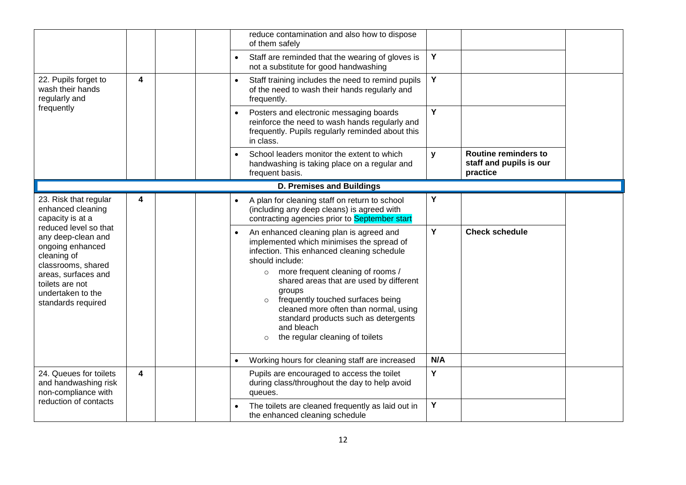|                                                                                                                                                                                           |   |           | reduce contamination and also how to dispose<br>of them safely                                                                                                                                                                                                                                                                                                                                                                                          |     |                                                                    |  |
|-------------------------------------------------------------------------------------------------------------------------------------------------------------------------------------------|---|-----------|---------------------------------------------------------------------------------------------------------------------------------------------------------------------------------------------------------------------------------------------------------------------------------------------------------------------------------------------------------------------------------------------------------------------------------------------------------|-----|--------------------------------------------------------------------|--|
|                                                                                                                                                                                           |   | $\bullet$ | Staff are reminded that the wearing of gloves is<br>not a substitute for good handwashing                                                                                                                                                                                                                                                                                                                                                               | Y   |                                                                    |  |
| 22. Pupils forget to<br>wash their hands<br>regularly and                                                                                                                                 | 4 | $\bullet$ | Staff training includes the need to remind pupils<br>of the need to wash their hands regularly and<br>frequently.                                                                                                                                                                                                                                                                                                                                       | Υ   |                                                                    |  |
| frequently                                                                                                                                                                                |   |           | Posters and electronic messaging boards<br>reinforce the need to wash hands regularly and<br>frequently. Pupils regularly reminded about this<br>in class.                                                                                                                                                                                                                                                                                              | Y   |                                                                    |  |
|                                                                                                                                                                                           |   | $\bullet$ | School leaders monitor the extent to which<br>handwashing is taking place on a regular and<br>frequent basis.                                                                                                                                                                                                                                                                                                                                           | y   | <b>Routine reminders to</b><br>staff and pupils is our<br>practice |  |
|                                                                                                                                                                                           |   |           | <b>D. Premises and Buildings</b>                                                                                                                                                                                                                                                                                                                                                                                                                        |     |                                                                    |  |
| 23. Risk that regular<br>enhanced cleaning<br>capacity is at a                                                                                                                            | 4 | $\bullet$ | A plan for cleaning staff on return to school<br>(including any deep cleans) is agreed with<br>contracting agencies prior to September start                                                                                                                                                                                                                                                                                                            | Y   |                                                                    |  |
| reduced level so that<br>any deep-clean and<br>ongoing enhanced<br>cleaning of<br>classrooms, shared<br>areas, surfaces and<br>toilets are not<br>undertaken to the<br>standards required |   |           | An enhanced cleaning plan is agreed and<br>implemented which minimises the spread of<br>infection. This enhanced cleaning schedule<br>should include:<br>more frequent cleaning of rooms /<br>$\circ$<br>shared areas that are used by different<br>groups<br>frequently touched surfaces being<br>$\circ$<br>cleaned more often than normal, using<br>standard products such as detergents<br>and bleach<br>the regular cleaning of toilets<br>$\circ$ | Y   | <b>Check schedule</b>                                              |  |
|                                                                                                                                                                                           |   |           | Working hours for cleaning staff are increased                                                                                                                                                                                                                                                                                                                                                                                                          | N/A |                                                                    |  |
| 24. Queues for toilets<br>and handwashing risk<br>non-compliance with                                                                                                                     | 4 |           | Pupils are encouraged to access the toilet<br>during class/throughout the day to help avoid<br>queues.                                                                                                                                                                                                                                                                                                                                                  | Y   |                                                                    |  |
| reduction of contacts                                                                                                                                                                     |   |           | The toilets are cleaned frequently as laid out in<br>the enhanced cleaning schedule                                                                                                                                                                                                                                                                                                                                                                     | Υ   |                                                                    |  |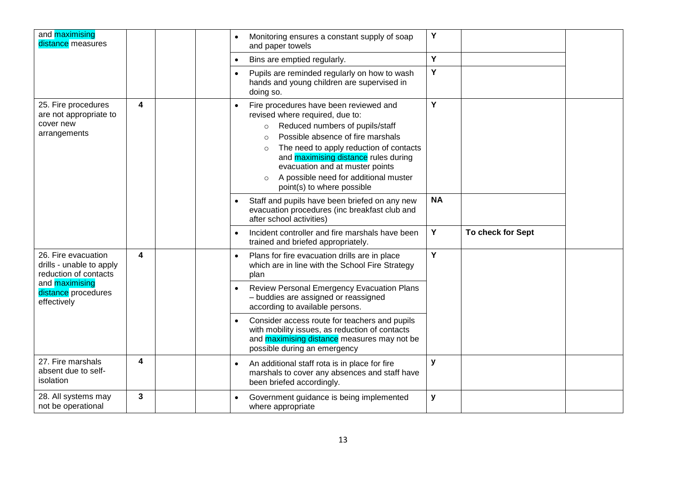| and maximising<br>distance measures                                        |                         |  | $\bullet$ | Monitoring ensures a constant supply of soap<br>and paper towels                                                                                                                                                                                                                                                                                                     | Y         |                   |  |
|----------------------------------------------------------------------------|-------------------------|--|-----------|----------------------------------------------------------------------------------------------------------------------------------------------------------------------------------------------------------------------------------------------------------------------------------------------------------------------------------------------------------------------|-----------|-------------------|--|
|                                                                            |                         |  |           | Bins are emptied regularly.                                                                                                                                                                                                                                                                                                                                          | Y         |                   |  |
|                                                                            |                         |  |           | Pupils are reminded regularly on how to wash<br>hands and young children are supervised in<br>doing so.                                                                                                                                                                                                                                                              | Y         |                   |  |
| 25. Fire procedures<br>are not appropriate to<br>cover new<br>arrangements | 4                       |  |           | Fire procedures have been reviewed and<br>revised where required, due to:<br>Reduced numbers of pupils/staff<br>Possible absence of fire marshals<br>$\circ$<br>The need to apply reduction of contacts<br>$\circ$<br>and maximising distance rules during<br>evacuation and at muster points<br>A possible need for additional muster<br>point(s) to where possible | Y         |                   |  |
|                                                                            |                         |  |           | Staff and pupils have been briefed on any new<br>evacuation procedures (inc breakfast club and<br>after school activities)                                                                                                                                                                                                                                           | <b>NA</b> |                   |  |
|                                                                            |                         |  |           | Incident controller and fire marshals have been<br>trained and briefed appropriately.                                                                                                                                                                                                                                                                                | Y         | To check for Sept |  |
| 26. Fire evacuation<br>drills - unable to apply<br>reduction of contacts   | $\overline{\mathbf{4}}$ |  | $\bullet$ | Plans for fire evacuation drills are in place<br>which are in line with the School Fire Strategy<br>plan                                                                                                                                                                                                                                                             | Y         |                   |  |
| and maximising<br>distance procedures<br>effectively                       |                         |  | $\bullet$ | Review Personal Emergency Evacuation Plans<br>- buddies are assigned or reassigned<br>according to available persons.                                                                                                                                                                                                                                                |           |                   |  |
|                                                                            |                         |  |           | Consider access route for teachers and pupils<br>with mobility issues, as reduction of contacts<br>and <b>maximising distance</b> measures may not be<br>possible during an emergency                                                                                                                                                                                |           |                   |  |
| 27. Fire marshals<br>absent due to self-<br>isolation                      | 4                       |  |           | An additional staff rota is in place for fire<br>marshals to cover any absences and staff have<br>been briefed accordingly.                                                                                                                                                                                                                                          | y         |                   |  |
|                                                                            |                         |  |           |                                                                                                                                                                                                                                                                                                                                                                      |           |                   |  |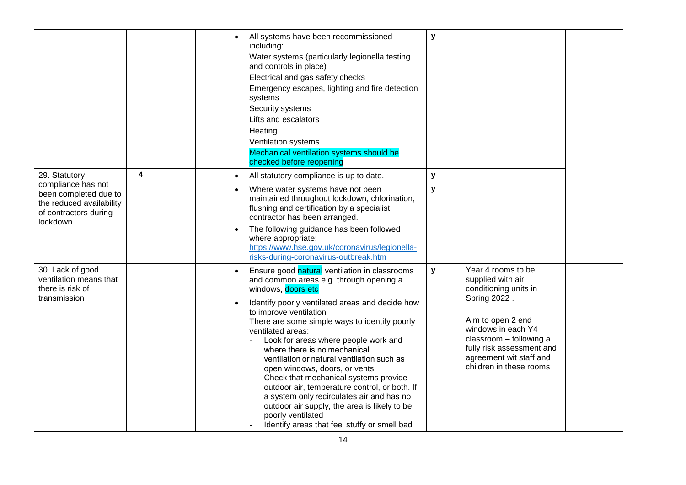|                                                                                                                               |   |  |                        | All systems have been recommissioned<br>including:<br>Water systems (particularly legionella testing<br>and controls in place)<br>Electrical and gas safety checks<br>Emergency escapes, lighting and fire detection<br>systems<br>Security systems<br>Lifts and escalators<br>Heating<br>Ventilation systems<br>Mechanical ventilation systems should be<br>checked before reopening                                                                                                                                                                                                                                                                                                | y      |                                                                                                                                                                                                                                           |  |
|-------------------------------------------------------------------------------------------------------------------------------|---|--|------------------------|--------------------------------------------------------------------------------------------------------------------------------------------------------------------------------------------------------------------------------------------------------------------------------------------------------------------------------------------------------------------------------------------------------------------------------------------------------------------------------------------------------------------------------------------------------------------------------------------------------------------------------------------------------------------------------------|--------|-------------------------------------------------------------------------------------------------------------------------------------------------------------------------------------------------------------------------------------------|--|
| 29. Statutory<br>compliance has not<br>been completed due to<br>the reduced availability<br>of contractors during<br>lockdown | 4 |  | $\bullet$<br>$\bullet$ | All statutory compliance is up to date.<br>Where water systems have not been<br>maintained throughout lockdown, chlorination,<br>flushing and certification by a specialist<br>contractor has been arranged.<br>The following guidance has been followed<br>where appropriate:<br>https://www.hse.gov.uk/coronavirus/legionella-<br>risks-during-coronavirus-outbreak.htm                                                                                                                                                                                                                                                                                                            | y<br>y |                                                                                                                                                                                                                                           |  |
| 30. Lack of good<br>ventilation means that<br>there is risk of<br>transmission                                                |   |  |                        | Ensure good natural ventilation in classrooms<br>and common areas e.g. through opening a<br>windows, doors etc<br>Identify poorly ventilated areas and decide how<br>to improve ventilation<br>There are some simple ways to identify poorly<br>ventilated areas:<br>Look for areas where people work and<br>where there is no mechanical<br>ventilation or natural ventilation such as<br>open windows, doors, or vents<br>Check that mechanical systems provide<br>outdoor air, temperature control, or both. If<br>a system only recirculates air and has no<br>outdoor air supply, the area is likely to be<br>poorly ventilated<br>Identify areas that feel stuffy or smell bad | y      | Year 4 rooms to be<br>supplied with air<br>conditioning units in<br>Spring 2022.<br>Aim to open 2 end<br>windows in each Y4<br>classroom - following a<br>fully risk assessment and<br>agreement wit staff and<br>children in these rooms |  |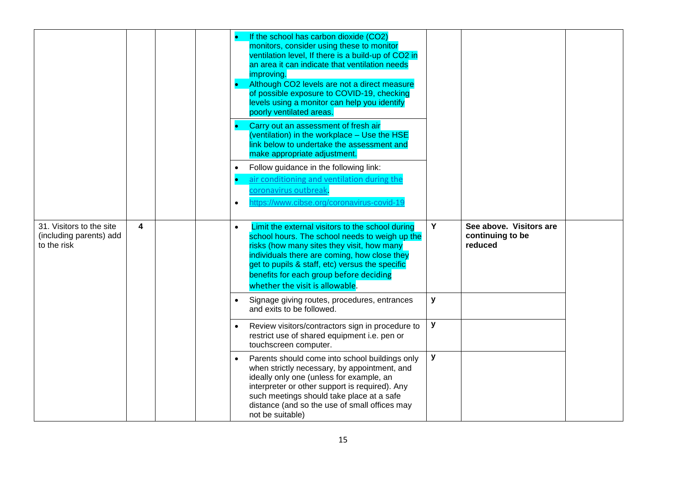|                                                                    |   |  | $\bullet$<br>$\bullet$ | If the school has carbon dioxide (CO2)<br>monitors, consider using these to monitor<br>ventilation level, If there is a build-up of CO2 in<br>an area it can indicate that ventilation needs<br>improving.<br>Although CO2 levels are not a direct measure<br>of possible exposure to COVID-19, checking<br>levels using a monitor can help you identify<br>poorly ventilated areas.<br>Carry out an assessment of fresh air<br>(ventilation) in the workplace - Use the HSE<br>link below to undertake the assessment and<br>make appropriate adjustment.<br>Follow guidance in the following link:<br>air conditioning and ventilation during the<br>coronavirus outbreak.<br>https://www.cibse.org/coronavirus-covid-1 |   |                                                        |  |
|--------------------------------------------------------------------|---|--|------------------------|---------------------------------------------------------------------------------------------------------------------------------------------------------------------------------------------------------------------------------------------------------------------------------------------------------------------------------------------------------------------------------------------------------------------------------------------------------------------------------------------------------------------------------------------------------------------------------------------------------------------------------------------------------------------------------------------------------------------------|---|--------------------------------------------------------|--|
| 31. Visitors to the site<br>(including parents) add<br>to the risk | 4 |  | $\bullet$              | Limit the external visitors to the school during<br>school hours. The school needs to weigh up the<br>risks (how many sites they visit, how many<br>individuals there are coming, how close they<br>get to pupils & staff, etc) versus the specific<br>benefits for each group before deciding<br>whether the visit is allowable.                                                                                                                                                                                                                                                                                                                                                                                         | Y | See above. Visitors are<br>continuing to be<br>reduced |  |
|                                                                    |   |  |                        | Signage giving routes, procedures, entrances<br>and exits to be followed.                                                                                                                                                                                                                                                                                                                                                                                                                                                                                                                                                                                                                                                 | y |                                                        |  |
|                                                                    |   |  |                        | Review visitors/contractors sign in procedure to<br>restrict use of shared equipment i.e. pen or<br>touchscreen computer.                                                                                                                                                                                                                                                                                                                                                                                                                                                                                                                                                                                                 | у |                                                        |  |
|                                                                    |   |  |                        | Parents should come into school buildings only<br>when strictly necessary, by appointment, and<br>ideally only one (unless for example, an<br>interpreter or other support is required). Any<br>such meetings should take place at a safe<br>distance (and so the use of small offices may<br>not be suitable)                                                                                                                                                                                                                                                                                                                                                                                                            | y |                                                        |  |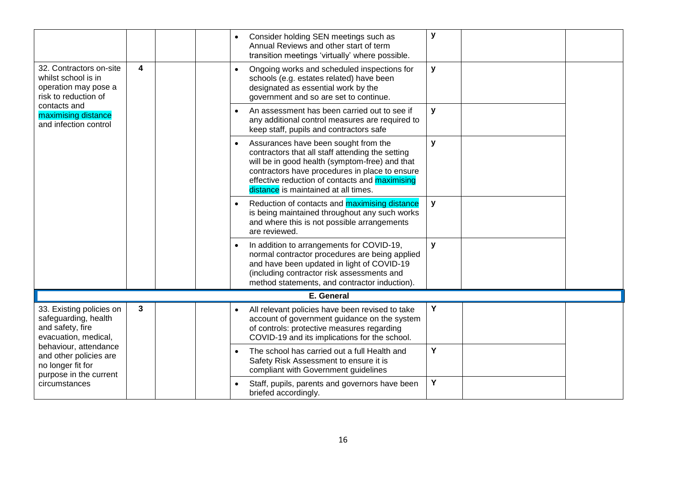|                                                                                                                                                                                                |              |  |           | Consider holding SEN meetings such as<br>Annual Reviews and other start of term<br>transition meetings 'virtually' where possible.                                                                                                                                                     | y                                                                                                                              |   |
|------------------------------------------------------------------------------------------------------------------------------------------------------------------------------------------------|--------------|--|-----------|----------------------------------------------------------------------------------------------------------------------------------------------------------------------------------------------------------------------------------------------------------------------------------------|--------------------------------------------------------------------------------------------------------------------------------|---|
| 32. Contractors on-site<br>whilst school is in<br>operation may pose a<br>risk to reduction of<br>contacts and<br>maximising distance<br>and infection control                                 | 4            |  |           | Ongoing works and scheduled inspections for<br>schools (e.g. estates related) have been<br>designated as essential work by the<br>government and so are set to continue.                                                                                                               | y                                                                                                                              |   |
|                                                                                                                                                                                                |              |  | $\bullet$ | An assessment has been carried out to see if<br>any additional control measures are required to<br>keep staff, pupils and contractors safe                                                                                                                                             | y                                                                                                                              |   |
|                                                                                                                                                                                                |              |  |           | Assurances have been sought from the<br>contractors that all staff attending the setting<br>will be in good health (symptom-free) and that<br>contractors have procedures in place to ensure<br>effective reduction of contacts and maximising<br>distance is maintained at all times. | y                                                                                                                              |   |
|                                                                                                                                                                                                |              |  |           | Reduction of contacts and <b>maximising distance</b><br>is being maintained throughout any such works<br>and where this is not possible arrangements<br>are reviewed.                                                                                                                  | y                                                                                                                              |   |
|                                                                                                                                                                                                |              |  |           | In addition to arrangements for COVID-19,<br>normal contractor procedures are being applied<br>and have been updated in light of COVID-19<br>(including contractor risk assessments and<br>method statements, and contractor induction).                                               | y                                                                                                                              |   |
|                                                                                                                                                                                                |              |  |           | E. General                                                                                                                                                                                                                                                                             |                                                                                                                                |   |
| 33. Existing policies on<br>safeguarding, health<br>and safety, fire<br>evacuation, medical,<br>behaviour, attendance<br>and other policies are<br>no longer fit for<br>purpose in the current | $\mathbf{3}$ |  |           | All relevant policies have been revised to take<br>account of government guidance on the system<br>of controls: protective measures regarding<br>COVID-19 and its implications for the school.                                                                                         | Y                                                                                                                              |   |
|                                                                                                                                                                                                |              |  |           |                                                                                                                                                                                                                                                                                        | The school has carried out a full Health and<br>Safety Risk Assessment to ensure it is<br>compliant with Government guidelines | Y |
| circumstances                                                                                                                                                                                  |              |  |           | Staff, pupils, parents and governors have been<br>briefed accordingly.                                                                                                                                                                                                                 | Y                                                                                                                              |   |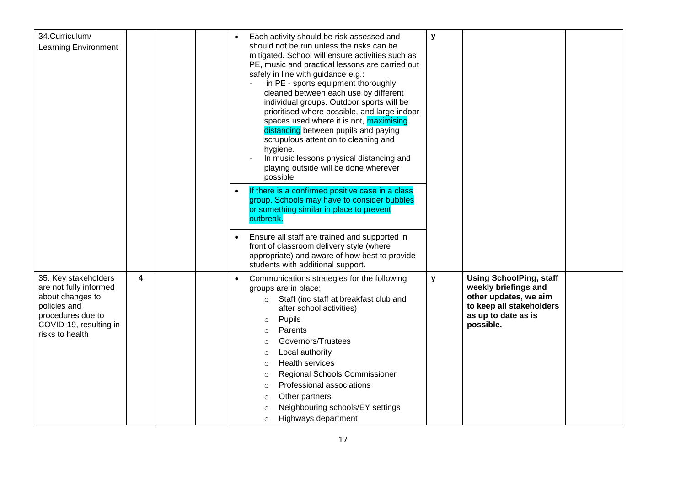| 34.Curriculum/<br><b>Learning Environment</b>                                                                                                        |   |  | $\bullet$ | Each activity should be risk assessed and<br>should not be run unless the risks can be<br>mitigated. School will ensure activities such as<br>PE, music and practical lessons are carried out<br>safely in line with guidance e.g.:<br>in PE - sports equipment thoroughly<br>cleaned between each use by different<br>individual groups. Outdoor sports will be<br>prioritised where possible, and large indoor<br>spaces used where it is not, maximising<br>distancing between pupils and paying<br>scrupulous attention to cleaning and<br>hygiene.<br>In music lessons physical distancing and<br>playing outside will be done wherever<br>possible<br>If there is a confirmed positive case in a class<br>group, Schools may have to consider bubbles<br>or something similar in place to prevent<br>outbreak. | y            |                                                                                                                                                 |  |
|------------------------------------------------------------------------------------------------------------------------------------------------------|---|--|-----------|----------------------------------------------------------------------------------------------------------------------------------------------------------------------------------------------------------------------------------------------------------------------------------------------------------------------------------------------------------------------------------------------------------------------------------------------------------------------------------------------------------------------------------------------------------------------------------------------------------------------------------------------------------------------------------------------------------------------------------------------------------------------------------------------------------------------|--------------|-------------------------------------------------------------------------------------------------------------------------------------------------|--|
|                                                                                                                                                      |   |  |           | Ensure all staff are trained and supported in<br>front of classroom delivery style (where<br>appropriate) and aware of how best to provide<br>students with additional support.                                                                                                                                                                                                                                                                                                                                                                                                                                                                                                                                                                                                                                      |              |                                                                                                                                                 |  |
| 35. Key stakeholders<br>are not fully informed<br>about changes to<br>policies and<br>procedures due to<br>COVID-19, resulting in<br>risks to health | 4 |  |           | Communications strategies for the following<br>groups are in place:<br>Staff (inc staff at breakfast club and<br>after school activities)<br>Pupils<br>$\circ$<br>Parents<br>$\circ$<br>Governors/Trustees<br>$\circ$<br>Local authority<br>$\circ$<br><b>Health services</b><br>$\circ$<br>Regional Schools Commissioner<br>$\circ$<br>Professional associations<br>$\circ$<br>Other partners<br>$\circ$<br>Neighbouring schools/EY settings<br>$\circ$<br>Highways department<br>$\circ$                                                                                                                                                                                                                                                                                                                           | $\mathbf{y}$ | <b>Using SchoolPing, staff</b><br>weekly briefings and<br>other updates, we aim<br>to keep all stakeholders<br>as up to date as is<br>possible. |  |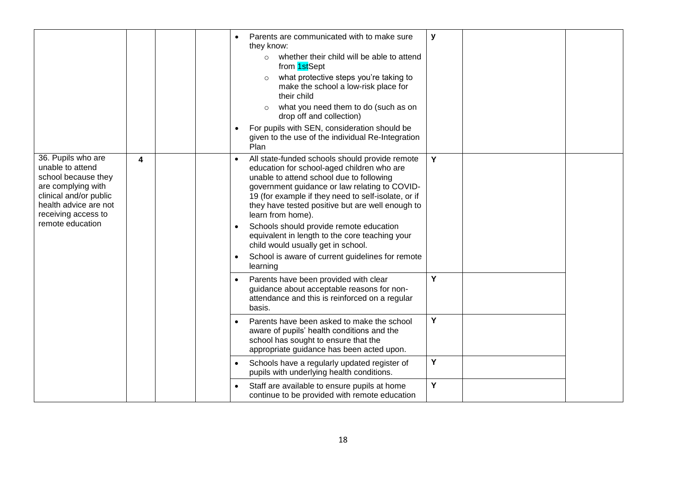|                                                                                                                                                                                   |   |  |                        | Parents are communicated with to make sure<br>they know:<br>whether their child will be able to attend<br>$\circ$<br>from 1stSept<br>what protective steps you're taking to<br>make the school a low-risk place for<br>their child<br>what you need them to do (such as on<br>drop off and collection)<br>For pupils with SEN, consideration should be<br>given to the use of the individual Re-Integration<br>Plan                                                                                                          | y |  |
|-----------------------------------------------------------------------------------------------------------------------------------------------------------------------------------|---|--|------------------------|------------------------------------------------------------------------------------------------------------------------------------------------------------------------------------------------------------------------------------------------------------------------------------------------------------------------------------------------------------------------------------------------------------------------------------------------------------------------------------------------------------------------------|---|--|
| 36. Pupils who are<br>unable to attend<br>school because they<br>are complying with<br>clinical and/or public<br>health advice are not<br>receiving access to<br>remote education | 4 |  | $\bullet$<br>$\bullet$ | All state-funded schools should provide remote<br>education for school-aged children who are<br>unable to attend school due to following<br>government guidance or law relating to COVID-<br>19 (for example if they need to self-isolate, or if<br>they have tested positive but are well enough to<br>learn from home).<br>Schools should provide remote education<br>equivalent in length to the core teaching your<br>child would usually get in school.<br>School is aware of current guidelines for remote<br>learning | Y |  |
|                                                                                                                                                                                   |   |  | $\bullet$              | Parents have been provided with clear<br>guidance about acceptable reasons for non-<br>attendance and this is reinforced on a regular<br>basis.                                                                                                                                                                                                                                                                                                                                                                              | Y |  |
|                                                                                                                                                                                   |   |  | $\bullet$              | Parents have been asked to make the school<br>aware of pupils' health conditions and the<br>school has sought to ensure that the<br>appropriate guidance has been acted upon.                                                                                                                                                                                                                                                                                                                                                | Y |  |
|                                                                                                                                                                                   |   |  |                        | Schools have a regularly updated register of<br>pupils with underlying health conditions.                                                                                                                                                                                                                                                                                                                                                                                                                                    | Υ |  |
|                                                                                                                                                                                   |   |  |                        | Staff are available to ensure pupils at home<br>continue to be provided with remote education                                                                                                                                                                                                                                                                                                                                                                                                                                | Υ |  |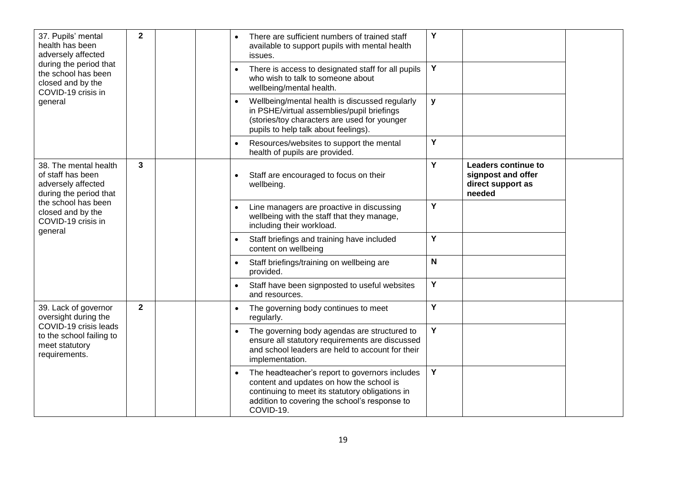| 37. Pupils' mental<br>health has been<br>adversely affected<br>during the period that      | $\mathbf{2}$   |  |           | There are sufficient numbers of trained staff<br>available to support pupils with mental health<br>issues.                                                                                                  | Y           |                                                                                 |  |
|--------------------------------------------------------------------------------------------|----------------|--|-----------|-------------------------------------------------------------------------------------------------------------------------------------------------------------------------------------------------------------|-------------|---------------------------------------------------------------------------------|--|
| the school has been<br>closed and by the<br>COVID-19 crisis in                             |                |  |           | There is access to designated staff for all pupils<br>who wish to talk to someone about<br>wellbeing/mental health.                                                                                         | Y           |                                                                                 |  |
| general                                                                                    |                |  |           | Wellbeing/mental health is discussed regularly<br>in PSHE/virtual assemblies/pupil briefings<br>(stories/toy characters are used for younger<br>pupils to help talk about feelings).                        | y           |                                                                                 |  |
|                                                                                            |                |  | $\bullet$ | Resources/websites to support the mental<br>health of pupils are provided.                                                                                                                                  | Y           |                                                                                 |  |
| 38. The mental health<br>of staff has been<br>adversely affected<br>during the period that | 3              |  | $\bullet$ | Staff are encouraged to focus on their<br>wellbeing.                                                                                                                                                        | Y           | <b>Leaders continue to</b><br>signpost and offer<br>direct support as<br>needed |  |
| the school has been<br>closed and by the<br>COVID-19 crisis in<br>general                  |                |  |           | Line managers are proactive in discussing<br>wellbeing with the staff that they manage,<br>including their workload.                                                                                        | Y           |                                                                                 |  |
|                                                                                            |                |  |           | Staff briefings and training have included<br>content on wellbeing                                                                                                                                          | Y           |                                                                                 |  |
|                                                                                            |                |  |           | Staff briefings/training on wellbeing are<br>provided.                                                                                                                                                      | $\mathbf N$ |                                                                                 |  |
|                                                                                            |                |  |           | Staff have been signposted to useful websites<br>and resources.                                                                                                                                             | Y           |                                                                                 |  |
| 39. Lack of governor<br>oversight during the                                               | $\overline{2}$ |  | $\bullet$ | The governing body continues to meet<br>regularly.                                                                                                                                                          | Y           |                                                                                 |  |
| COVID-19 crisis leads<br>to the school failing to<br>meet statutory<br>requirements.       |                |  | $\bullet$ | The governing body agendas are structured to<br>ensure all statutory requirements are discussed<br>and school leaders are held to account for their<br>implementation.                                      | Y           |                                                                                 |  |
|                                                                                            |                |  | $\bullet$ | The headteacher's report to governors includes<br>content and updates on how the school is<br>continuing to meet its statutory obligations in<br>addition to covering the school's response to<br>COVID-19. | Y           |                                                                                 |  |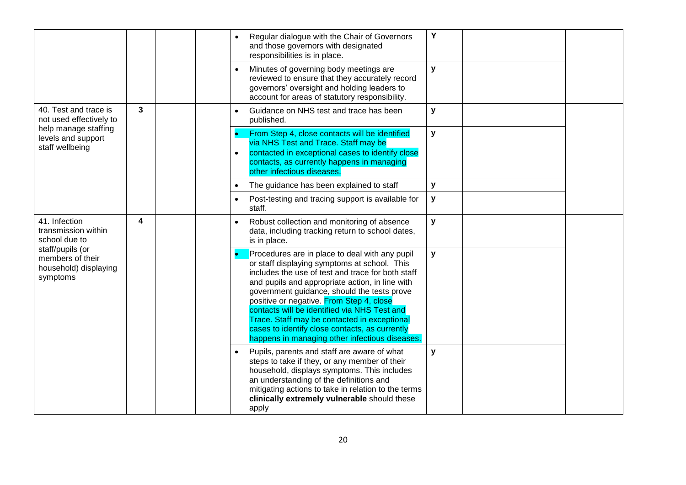|                                                                           |   |  |           | Regular dialogue with the Chair of Governors<br>and those governors with designated<br>responsibilities is in place.                                                                                                                                                                                                                                                                                                                                                                                  | Y            |  |
|---------------------------------------------------------------------------|---|--|-----------|-------------------------------------------------------------------------------------------------------------------------------------------------------------------------------------------------------------------------------------------------------------------------------------------------------------------------------------------------------------------------------------------------------------------------------------------------------------------------------------------------------|--------------|--|
|                                                                           |   |  |           | Minutes of governing body meetings are<br>reviewed to ensure that they accurately record<br>governors' oversight and holding leaders to<br>account for areas of statutory responsibility.                                                                                                                                                                                                                                                                                                             | $\mathbf{y}$ |  |
| 40. Test and trace is<br>not used effectively to                          | 3 |  | $\bullet$ | Guidance on NHS test and trace has been<br>published.                                                                                                                                                                                                                                                                                                                                                                                                                                                 | y            |  |
| help manage staffing<br>levels and support<br>staff wellbeing             |   |  | $\bullet$ | From Step 4, close contacts will be identified<br>via NHS Test and Trace. Staff may be<br>contacted in exceptional cases to identify close<br>contacts, as currently happens in managing<br>other infectious diseases.                                                                                                                                                                                                                                                                                | y            |  |
|                                                                           |   |  |           | The guidance has been explained to staff                                                                                                                                                                                                                                                                                                                                                                                                                                                              | y            |  |
|                                                                           |   |  |           | Post-testing and tracing support is available for<br>staff.                                                                                                                                                                                                                                                                                                                                                                                                                                           | $\mathbf{y}$ |  |
| 41. Infection<br>transmission within<br>school due to                     | 4 |  | $\bullet$ | Robust collection and monitoring of absence<br>data, including tracking return to school dates,<br>is in place.                                                                                                                                                                                                                                                                                                                                                                                       | y            |  |
| staff/pupils (or<br>members of their<br>household) displaying<br>symptoms |   |  |           | Procedures are in place to deal with any pupil<br>or staff displaying symptoms at school. This<br>includes the use of test and trace for both staff<br>and pupils and appropriate action, in line with<br>government guidance, should the tests prove<br>positive or negative. From Step 4, close<br>contacts will be identified via NHS Test and<br>Trace. Staff may be contacted in exceptional<br>cases to identify close contacts, as currently<br>happens in managing other infectious diseases. | y            |  |
|                                                                           |   |  | $\bullet$ | Pupils, parents and staff are aware of what<br>steps to take if they, or any member of their<br>household, displays symptoms. This includes<br>an understanding of the definitions and<br>mitigating actions to take in relation to the terms<br>clinically extremely vulnerable should these<br>apply                                                                                                                                                                                                | $\mathbf{y}$ |  |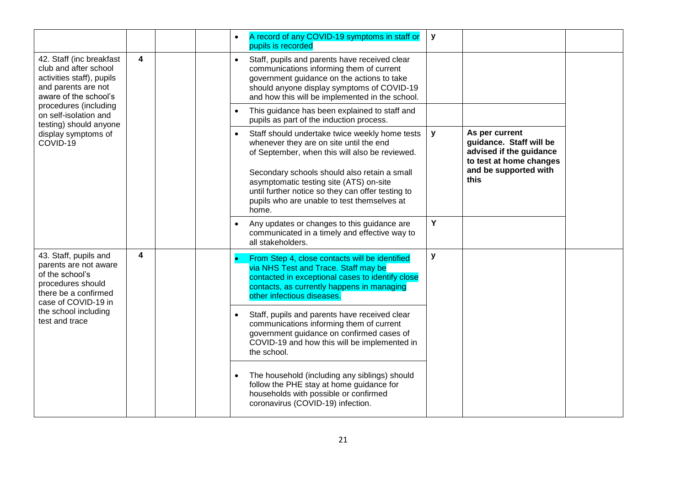|                                                                                                                                       |   |  | $\bullet$ | A record of any COVID-19 symptoms in staff or<br>pupils is recorded                                                                                                                                                                      | y |                               |  |                                                                                                                                             |   |                                                                                                 |  |
|---------------------------------------------------------------------------------------------------------------------------------------|---|--|-----------|------------------------------------------------------------------------------------------------------------------------------------------------------------------------------------------------------------------------------------------|---|-------------------------------|--|---------------------------------------------------------------------------------------------------------------------------------------------|---|-------------------------------------------------------------------------------------------------|--|
| 42. Staff (inc breakfast<br>club and after school<br>activities staff), pupils<br>and parents are not<br>aware of the school's        | 4 |  | $\bullet$ | Staff, pupils and parents have received clear<br>communications informing them of current<br>government guidance on the actions to take<br>should anyone display symptoms of COVID-19<br>and how this will be implemented in the school. |   |                               |  |                                                                                                                                             |   |                                                                                                 |  |
| procedures (including<br>on self-isolation and<br>testing) should anyone                                                              |   |  | $\bullet$ | This guidance has been explained to staff and<br>pupils as part of the induction process.                                                                                                                                                |   |                               |  |                                                                                                                                             |   |                                                                                                 |  |
| display symptoms of<br>COVID-19                                                                                                       |   |  |           |                                                                                                                                                                                                                                          |   |                               |  | Staff should undertake twice weekly home tests<br>whenever they are on site until the end<br>of September, when this will also be reviewed. | y | As per current<br>guidance. Staff will be<br>advised if the guidance<br>to test at home changes |  |
|                                                                                                                                       |   |  |           | Secondary schools should also retain a small<br>asymptomatic testing site (ATS) on-site<br>until further notice so they can offer testing to<br>pupils who are unable to test themselves at<br>home.                                     |   | and be supported with<br>this |  |                                                                                                                                             |   |                                                                                                 |  |
|                                                                                                                                       |   |  | $\bullet$ | Any updates or changes to this guidance are<br>communicated in a timely and effective way to<br>all stakeholders.                                                                                                                        | Y |                               |  |                                                                                                                                             |   |                                                                                                 |  |
| 43. Staff, pupils and<br>parents are not aware<br>of the school's<br>procedures should<br>there be a confirmed<br>case of COVID-19 in | 4 |  |           | From Step 4, close contacts will be identified<br>via NHS Test and Trace. Staff may be<br>contacted in exceptional cases to identify close<br>contacts, as currently happens in managing<br>other infectious diseases.                   | y |                               |  |                                                                                                                                             |   |                                                                                                 |  |
| the school including<br>test and trace                                                                                                |   |  | $\bullet$ | Staff, pupils and parents have received clear<br>communications informing them of current<br>government guidance on confirmed cases of<br>COVID-19 and how this will be implemented in<br>the school.                                    |   |                               |  |                                                                                                                                             |   |                                                                                                 |  |
|                                                                                                                                       |   |  |           | The household (including any siblings) should<br>follow the PHE stay at home guidance for<br>households with possible or confirmed<br>coronavirus (COVID-19) infection.                                                                  |   |                               |  |                                                                                                                                             |   |                                                                                                 |  |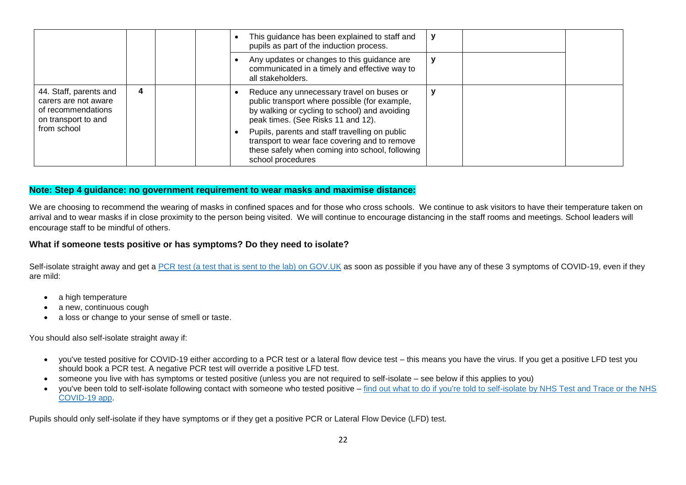|                                                                                             |   |  | This guidance has been explained to staff and<br>pupils as part of the induction process.                                                                                         |  |  |
|---------------------------------------------------------------------------------------------|---|--|-----------------------------------------------------------------------------------------------------------------------------------------------------------------------------------|--|--|
|                                                                                             |   |  | Any updates or changes to this guidance are<br>communicated in a timely and effective way to<br>all stakeholders.                                                                 |  |  |
| 44. Staff, parents and<br>carers are not aware<br>of recommendations<br>on transport to and | 4 |  | Reduce any unnecessary travel on buses or<br>public transport where possible (for example,<br>by walking or cycling to school) and avoiding<br>peak times. (See Risks 11 and 12). |  |  |
| from school                                                                                 |   |  | Pupils, parents and staff travelling on public<br>transport to wear face covering and to remove<br>these safely when coming into school, following<br>school procedures           |  |  |

#### **Note: Step 4 guidance: no government requirement to wear masks and maximise distance:**

We are choosing to recommend the wearing of masks in confined spaces and for those who cross schools. We continue to ask visitors to have their temperature taken on arrival and to wear masks if in close proximity to the person being visited. We will continue to encourage distancing in the staff rooms and meetings. School leaders will encourage staff to be mindful of others.

#### **What if someone tests positive or has symptoms? Do they need to isolate?**

Self-isolate straight away and get a [PCR test \(a test that is sent to the lab\) on GOV.UK](https://www.gov.uk/get-coronavirus-test) as soon as possible if you have any of these 3 symptoms of COVID-19, even if they are mild:

- a high temperature
- a new, continuous cough
- a loss or change to your sense of smell or taste.

You should also self-isolate straight away if:

- you've tested positive for COVID-19 either according to a PCR test or a lateral flow device test this means you have the virus. If you get a positive LFD test you should book a PCR test. A negative PCR test will override a positive LFD test.
- someone you live with has symptoms or tested positive (unless you are not required to self-isolate see below if this applies to you)
- you've been told to self-isolate following contact with someone who tested positive [find out what to do if you're told to self-isolate by NHS Test and Trace or the NHS](https://www.nhs.uk/conditions/coronavirus-covid-19/self-isolation-and-treatment/if-youre-told-to-self-isolate-by-nhs-test-and-trace-or-the-covid-19-app/)  [COVID-19 app.](https://www.nhs.uk/conditions/coronavirus-covid-19/self-isolation-and-treatment/if-youre-told-to-self-isolate-by-nhs-test-and-trace-or-the-covid-19-app/)

Pupils should only self-isolate if they have symptoms or if they get a positive PCR or Lateral Flow Device (LFD) test.